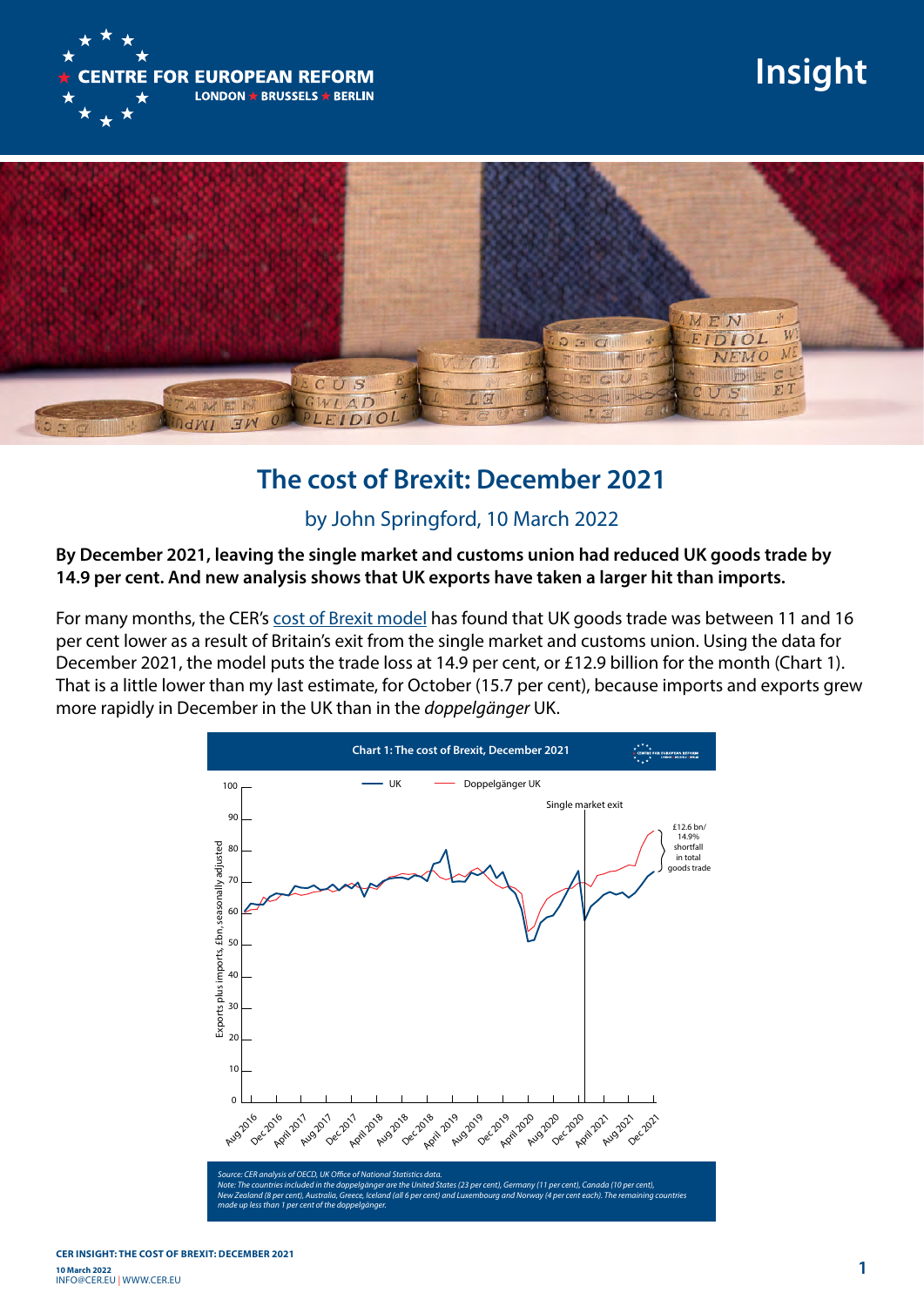

## **Insight**



## **The cost of Brexit: December 2021**

## by John Springford, 10 March 2022

**By December 2021, leaving the single market and customs union had reduced UK goods trade by 14.9 per cent. And new analysis shows that UK exports have taken a larger hit than imports.**

For many months, the CER's [cost of Brexit model](https://www.cer.eu/insights/cost-brexit-may-2021) has found that UK goods trade was between 11 and 16 per cent lower as a result of Britain's exit from the single market and customs union. Using the data for December 2021, the model puts the trade loss at 14.9 per cent, or £12.9 billion for the month (Chart 1). That is a little lower than my last estimate, for October (15.7 per cent), because imports and exports grew more rapidly in December in the UK than in the *doppelgänger* UK.

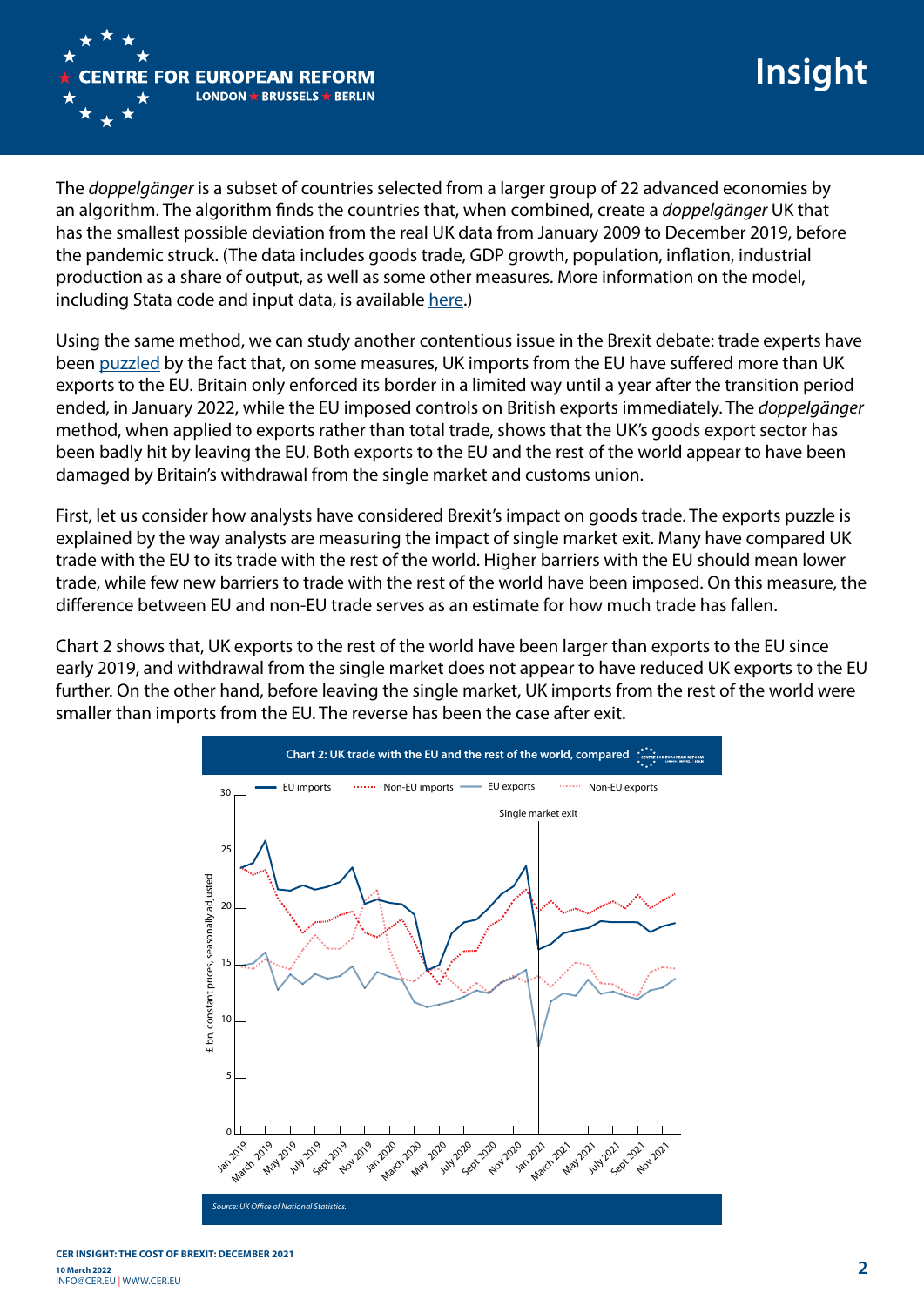

The *doppelgänger* is a subset of countries selected from a larger group of 22 advanced economies by an algorithm. The algorithm finds the countries that, when combined, create a *doppelgänger* UK that has the smallest possible deviation from the real UK data from January 2009 to December 2019, before the pandemic struck. (The data includes goods trade, GDP growth, population, inflation, industrial production as a share of output, as well as some other measures. More information on the model, including Stata code and input data, is available [here.](https://www.cer.eu/insights/cost-brexit-january-2021-end-transition-edition))

Using the same method, we can study another contentious issue in the Brexit debate: trade experts have been [puzzled](https://twitter.com/thom_sampson/status/1492066198988767234) by the fact that, on some measures, UK imports from the EU have suffered more than UK exports to the EU. Britain only enforced its border in a limited way until a year after the transition period ended, in January 2022, while the EU imposed controls on British exports immediately. The *doppelgänger* method, when applied to exports rather than total trade, shows that the UK's goods export sector has been badly hit by leaving the EU. Both exports to the EU and the rest of the world appear to have been damaged by Britain's withdrawal from the single market and customs union.

First, let us consider how analysts have considered Brexit's impact on goods trade. The exports puzzle is explained by the way analysts are measuring the impact of single market exit. Many have compared UK trade with the EU to its trade with the rest of the world. Higher barriers with the EU should mean lower trade, while few new barriers to trade with the rest of the world have been imposed. On this measure, the difference between EU and non-EU trade serves as an estimate for how much trade has fallen.

Chart 2 shows that, UK exports to the rest of the world have been larger than exports to the EU since early 2019, and withdrawal from the single market does not appear to have reduced UK exports to the EU further. On the other hand, before leaving the single market, UK imports from the rest of the world were smaller than imports from the EU. The reverse has been the case after exit.

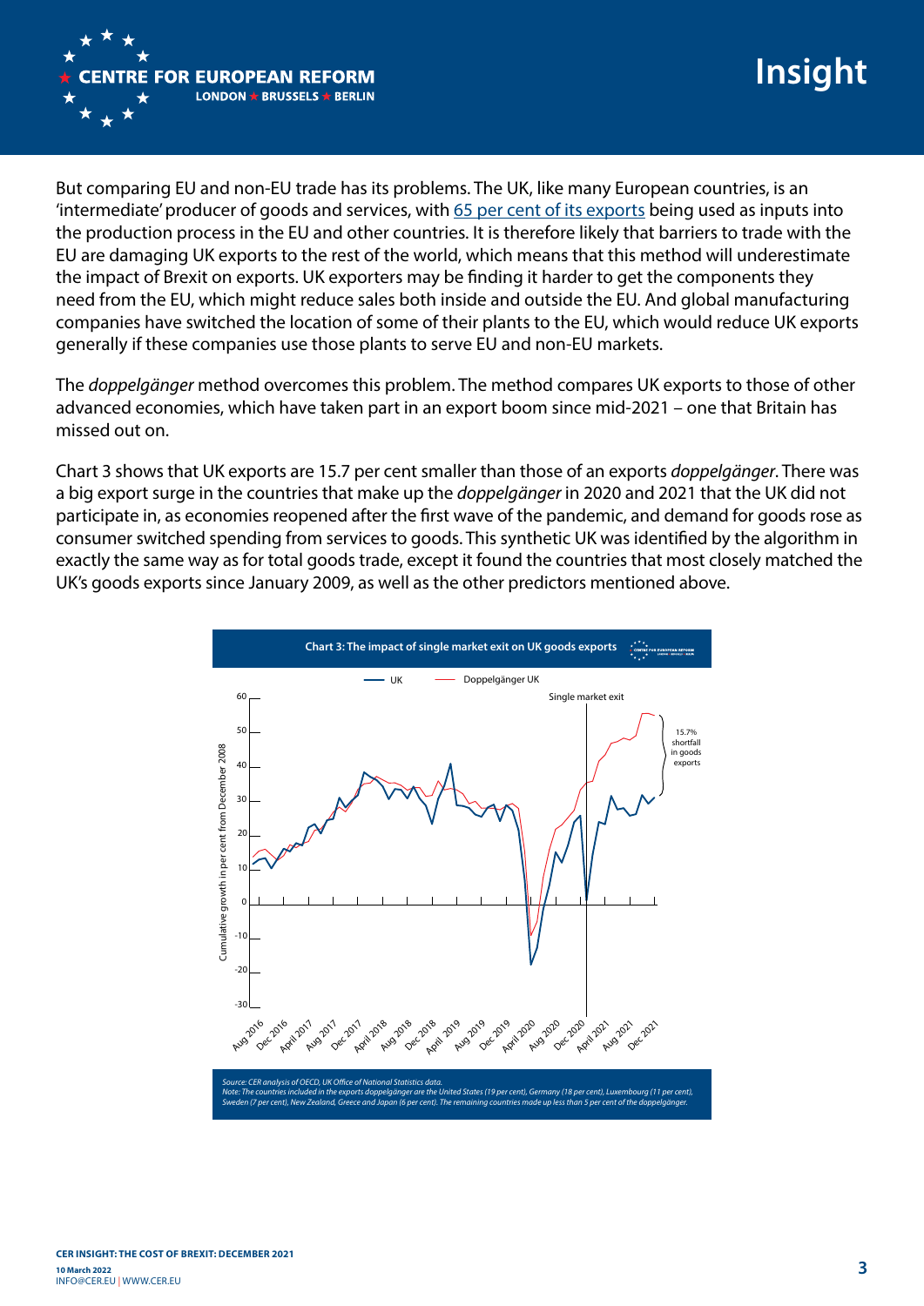

But comparing EU and non-EU trade has its problems. The UK, like many European countries, is an 'intermediate' producer of goods and services, with [65 per cent of its exports](https://ifs.org.uk/publications/10302) being used as inputs into the production process in the EU and other countries. It is therefore likely that barriers to trade with the EU are damaging UK exports to the rest of the world, which means that this method will underestimate the impact of Brexit on exports. UK exporters may be finding it harder to get the components they need from the EU, which might reduce sales both inside and outside the EU. And global manufacturing companies have switched the location of some of their plants to the EU, which would reduce UK exports generally if these companies use those plants to serve EU and non-EU markets.

The *doppelgänger* method overcomes this problem. The method compares UK exports to those of other advanced economies, which have taken part in an export boom since mid-2021 – one that Britain has missed out on.

Chart 3 shows that UK exports are 15.7 per cent smaller than those of an exports *doppelgänger*. There was a big export surge in the countries that make up the *doppelgänger* in 2020 and 2021 that the UK did not participate in, as economies reopened after the first wave of the pandemic, and demand for goods rose as consumer switched spending from services to goods. This synthetic UK was identified by the algorithm in exactly the same way as for total goods trade, except it found the countries that most closely matched the UK's goods exports since January 2009, as well as the other predictors mentioned above.

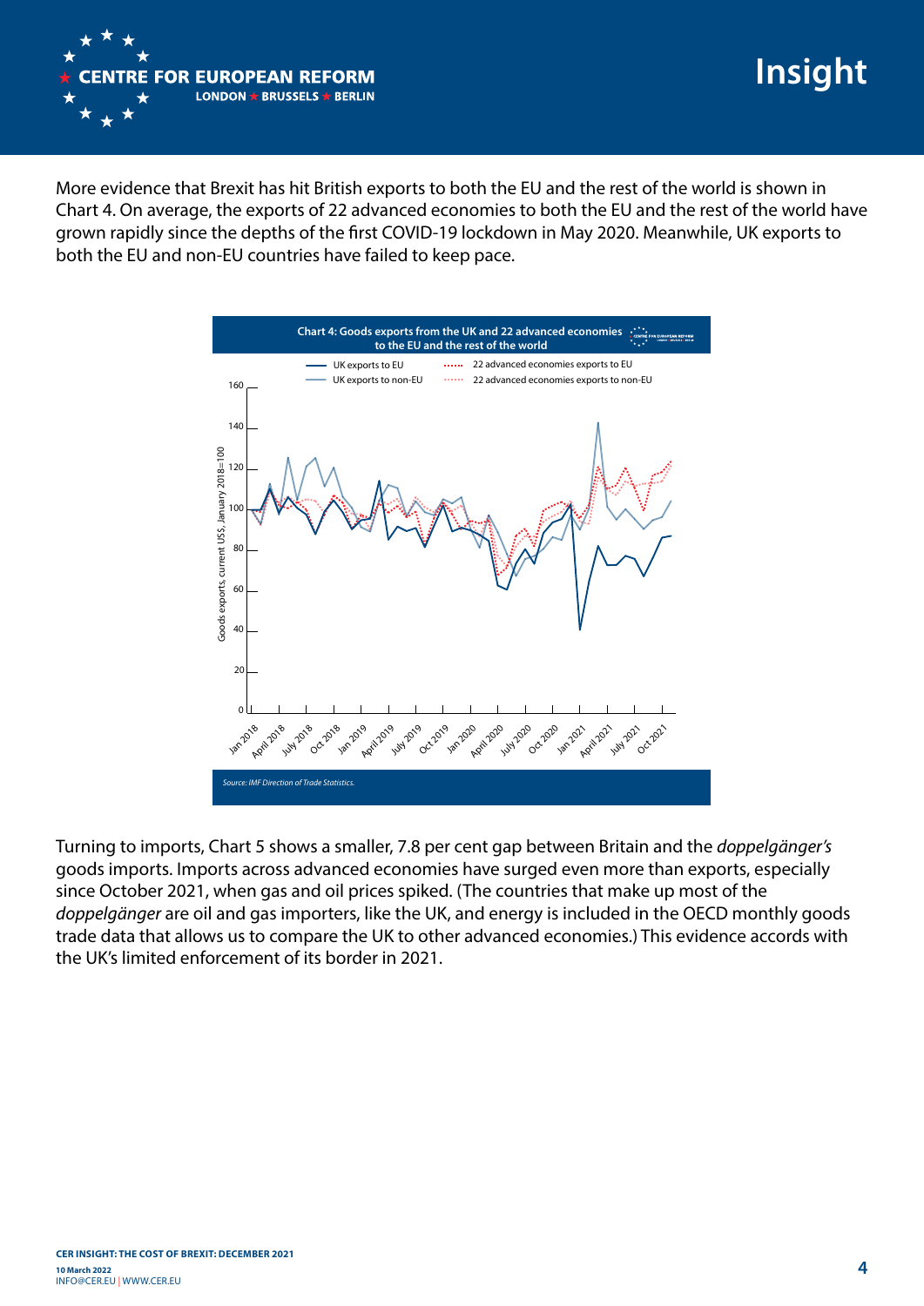

**Insight**

More evidence that Brexit has hit British exports to both the EU and the rest of the world is shown in Chart 4. On average, the exports of 22 advanced economies to both the EU and the rest of the world have grown rapidly since the depths of the first COVID-19 lockdown in May 2020. Meanwhile, UK exports to both the EU and non-EU countries have failed to keep pace.



Turning to imports, Chart 5 shows a smaller, 7.8 per cent gap between Britain and the *doppelgänger's* goods imports. Imports across advanced economies have surged even more than exports, especially since October 2021, when gas and oil prices spiked. (The countries that make up most of the *doppelgänger* are oil and gas importers, like the UK, and energy is included in the OECD monthly goods trade data that allows us to compare the UK to other advanced economies.) This evidence accords with the UK's limited enforcement of its border in 2021.